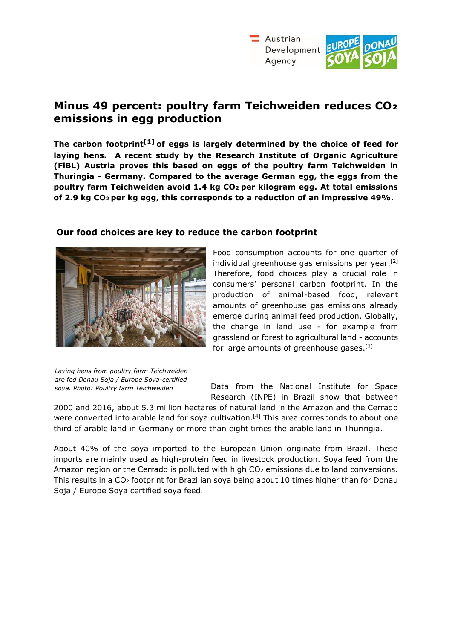

# **Minus 49 percent: poultry farm Teichweiden reduces CO₂ emissions in egg production**

**The carbon footprint[1] of eggs is largely determined by the choice of feed for laying hens. A recent study by the Research Institute of Organic Agriculture (FiBL) Austria proves this based on eggs of the poultry farm Teichweiden in Thuringia - Germany. Compared to the average German egg, the eggs from the poultry farm Teichweiden avoid 1.4 kg CO2 per kilogram egg. At total emissions of 2.9 kg CO2 per kg egg, this corresponds to a reduction of an impressive 49%.** 



#### **Our food choices are key to reduce the carbon footprint**

Food consumption accounts for one quarter of individual greenhouse gas emissions per year.<sup>[2]</sup> Therefore, food choices play a crucial role in consumers' personal carbon footprint. In the production of animal-based food, relevant amounts of greenhouse gas emissions already emerge during animal feed production. Globally, the change in land use - for example from grassland or forest to agricultural land - accounts for large amounts of greenhouse gases.[3]

*Laying hens from poultry farm Teichweiden are fed Donau Soja / Europe Soya-certified soya. Photo: Poultry farm Teichweiden*

Data from the National Institute for Space Research (INPE) in Brazil show that between

2000 and 2016, about 5.3 million hectares of natural land in the Amazon and the Cerrado were converted into arable land for soya cultivation.<sup>[4]</sup> This area corresponds to about one third of arable land in Germany or more than eight times the arable land in Thuringia.

About 40% of the soya imported to the European Union originate from Brazil. These imports are mainly used as high-protein feed in livestock production. Soya feed from the Amazon region or the Cerrado is polluted with high  $CO<sub>2</sub>$  emissions due to land conversions. This results in a CO2 footprint for Brazilian soya being about 10 times higher than for Donau Soja / Europe Soya certified soya feed.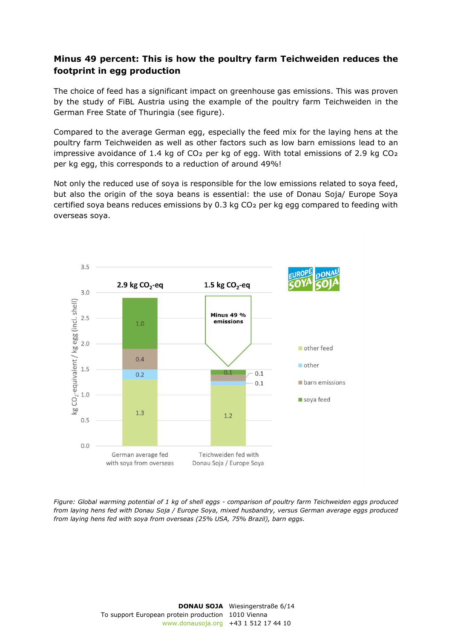## **Minus 49 percent: This is how the poultry farm Teichweiden reduces the footprint in egg production**

The choice of feed has a significant impact on greenhouse gas emissions. This was proven by the study of FiBL Austria using the example of the poultry farm Teichweiden in the German Free State of Thuringia (see figure).

Compared to the average German egg, especially the feed mix for the laying hens at the poultry farm Teichweiden as well as other factors such as low barn emissions lead to an impressive avoidance of 1.4 kg of CO<sub>2</sub> per kg of egg. With total emissions of 2.9 kg CO<sub>2</sub> per kg egg, this corresponds to a reduction of around 49%!

Not only the reduced use of soya is responsible for the low emissions related to soya feed, but also the origin of the soya beans is essential: the use of Donau Soja/ Europe Soya certified soya beans reduces emissions by 0.3 kg CO<sub>2</sub> per kg egg compared to feeding with overseas soya.



*Figure: Global warming potential of 1 kg of shell eggs - comparison of poultry farm Teichweiden eggs produced from laying hens fed with Donau Soja / Europe Soya, mixed husbandry, versus German average eggs produced from laying hens fed with soya from overseas (25% USA, 75% Brazil), barn eggs.* 

> **DONAU SOJA**  Wiesingerstraße 6/14 To support European protein production 1010 Vienna www.donausoja.org +43 1 512 17 44 10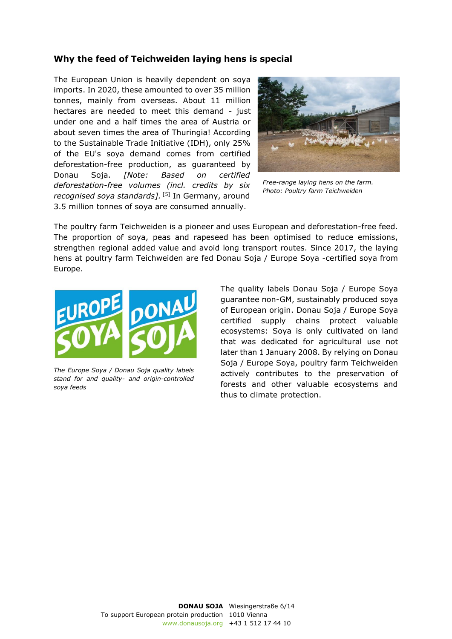### **Why the feed of Teichweiden laying hens is special**

The European Union is heavily dependent on soya imports. In 2020, these amounted to over 35 million tonnes, mainly from overseas. About 11 million hectares are needed to meet this demand - just under one and a half times the area of Austria or about seven times the area of Thuringia! According to the Sustainable Trade Initiative (IDH), only 25% of the EU's soya demand comes from certified deforestation-free production, as guaranteed by Donau Soja. *[Note: Based on certified deforestation-free volumes (incl. credits by six recognised soya standards].* [5] In Germany, around 3.5 million tonnes of soya are consumed annually.



*Free-range laying hens on the farm. Photo: Poultry farm Teichweiden* 

The poultry farm Teichweiden is a pioneer and uses European and deforestation-free feed. The proportion of soya, peas and rapeseed has been optimised to reduce emissions, strengthen regional added value and avoid long transport routes. Since 2017, the laying hens at poultry farm Teichweiden are fed Donau Soja / Europe Soya -certified soya from Europe.



*The Europe Soya / Donau Soja quality labels stand for and quality- and origin-controlled soya feeds*

The quality labels Donau Soja / Europe Soya guarantee non-GM, sustainably produced soya of European origin. Donau Soja / Europe Soya certified supply chains protect valuable ecosystems: Soya is only cultivated on land that was dedicated for agricultural use not later than 1 January 2008. By relying on Donau Soja / Europe Soya, poultry farm Teichweiden actively contributes to the preservation of forests and other valuable ecosystems and thus to climate protection.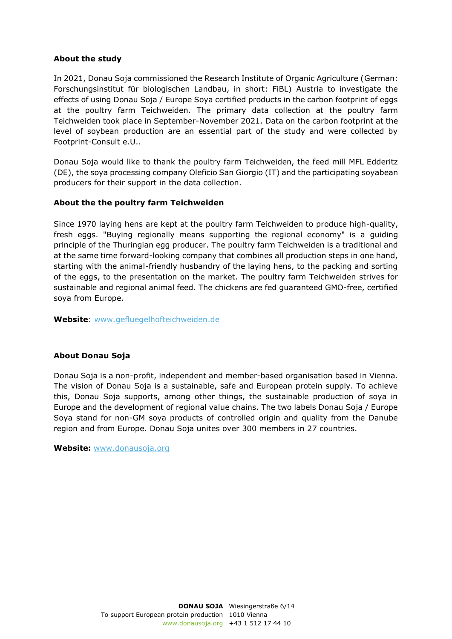#### **About the study**

In 2021, Donau Soja commissioned the Research Institute of Organic Agriculture (German: Forschungsinstitut für biologischen Landbau, in short: FiBL) Austria to investigate the effects of using Donau Soja / Europe Soya certified products in the carbon footprint of eggs at the poultry farm Teichweiden. The primary data collection at the poultry farm Teichweiden took place in September-November 2021. Data on the carbon footprint at the level of soybean production are an essential part of the study and were collected by Footprint-Consult e.U..

Donau Soja would like to thank the poultry farm Teichweiden, the feed mill MFL Edderitz (DE), the soya processing company Oleficio San Giorgio (IT) and the participating soyabean producers for their support in the data collection.

#### **About the the poultry farm Teichweiden**

Since 1970 laying hens are kept at the poultry farm Teichweiden to produce high-quality, fresh eggs. "Buying regionally means supporting the regional economy" is a guiding principle of the Thuringian egg producer. The poultry farm Teichweiden is a traditional and at the same time forward-looking company that combines all production steps in one hand, starting with the animal-friendly husbandry of the laying hens, to the packing and sorting of the eggs, to the presentation on the market. The poultry farm Teichweiden strives for sustainable and regional animal feed. The chickens are fed guaranteed GMO-free, certified soya from Europe.

**Website**: [www.gefluegelhofteichweiden.de](http://www.gefluegelhofteichweiden.de/) 

#### **About Donau Soja**

Donau Soja is a non-profit, independent and member-based organisation based in Vienna. The vision of Donau Soja is a sustainable, safe and European protein supply. To achieve this, Donau Soja supports, among other things, the sustainable production of soya in Europe and the development of regional value chains. The two labels Donau Soja / Europe Soya stand for non-GM soya products of controlled origin and quality from the Danube region and from Europe. Donau Soja unites over 300 members in 27 countries.

**Website:** [www.donausoja.org](http://www.donausoja.org/)